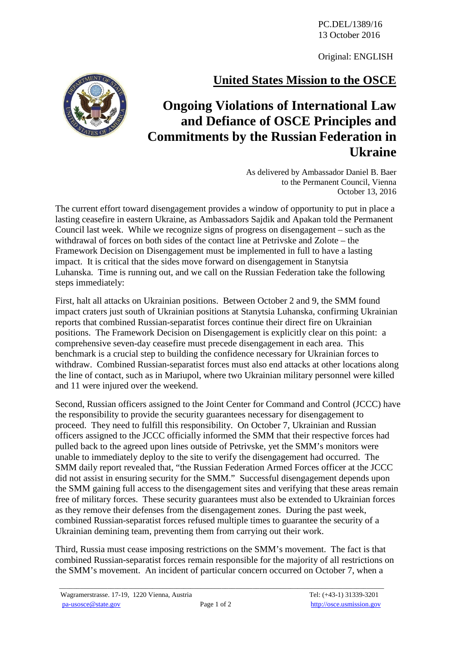PC.DEL/1389/16 13 October 2016

Original: ENGLISH

## **United States Mission to the OSCE**



As delivered by Ambassador Daniel B. Baer to the Permanent Council, Vienna October 13, 2016

The current effort toward disengagement provides a window of opportunity to put in place a lasting ceasefire in eastern Ukraine, as Ambassadors Sajdik and Apakan told the Permanent Council last week. While we recognize signs of progress on disengagement – such as the withdrawal of forces on both sides of the contact line at Petrivske and Zolote – the Framework Decision on Disengagement must be implemented in full to have a lasting impact. It is critical that the sides move forward on disengagement in Stanytsia Luhanska. Time is running out, and we call on the Russian Federation take the following steps immediately:

First, halt all attacks on Ukrainian positions. Between October 2 and 9, the SMM found impact craters just south of Ukrainian positions at Stanytsia Luhanska, confirming Ukrainian reports that combined Russian-separatist forces continue their direct fire on Ukrainian positions. The Framework Decision on Disengagement is explicitly clear on this point: a comprehensive seven-day ceasefire must precede disengagement in each area. This benchmark is a crucial step to building the confidence necessary for Ukrainian forces to withdraw. Combined Russian-separatist forces must also end attacks at other locations along the line of contact, such as in Mariupol, where two Ukrainian military personnel were killed and 11 were injured over the weekend.

Second, Russian officers assigned to the Joint Center for Command and Control (JCCC) have the responsibility to provide the security guarantees necessary for disengagement to proceed. They need to fulfill this responsibility. On October 7, Ukrainian and Russian officers assigned to the JCCC officially informed the SMM that their respective forces had pulled back to the agreed upon lines outside of Petrivske, yet the SMM's monitors were unable to immediately deploy to the site to verify the disengagement had occurred. The SMM daily report revealed that, "the Russian Federation Armed Forces officer at the JCCC did not assist in ensuring security for the SMM." Successful disengagement depends upon the SMM gaining full access to the disengagement sites and verifying that these areas remain free of military forces. These security guarantees must also be extended to Ukrainian forces as they remove their defenses from the disengagement zones. During the past week, combined Russian-separatist forces refused multiple times to guarantee the security of a Ukrainian demining team, preventing them from carrying out their work.

Third, Russia must cease imposing restrictions on the SMM's movement. The fact is that combined Russian-separatist forces remain responsible for the majority of all restrictions on the SMM's movement. An incident of particular concern occurred on October 7, when a

\_\_\_\_\_\_\_\_\_\_\_\_\_\_\_\_\_\_\_\_\_\_\_\_\_\_\_\_\_\_\_\_\_\_\_\_\_\_\_\_\_\_\_\_\_\_\_\_\_\_\_\_\_\_\_\_\_\_\_\_\_\_\_\_\_\_\_\_\_\_\_\_\_\_\_\_\_\_\_\_\_\_\_\_\_\_\_\_\_\_\_\_\_\_